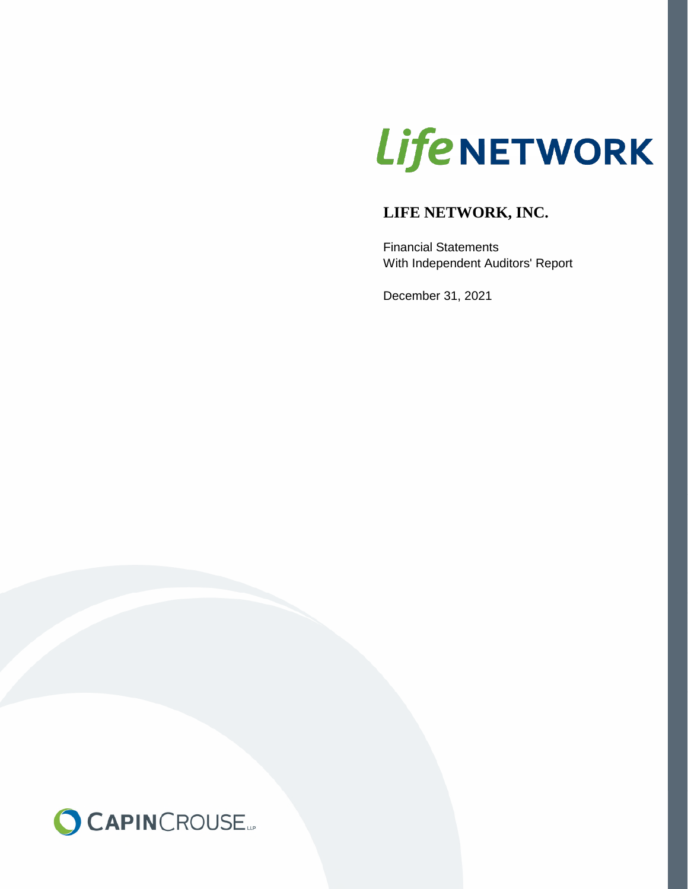# **LifeNETWORK**

# **LIFE NETWORK, INC.**

Financial Statements With Independent Auditors' Report

December 31, 2021

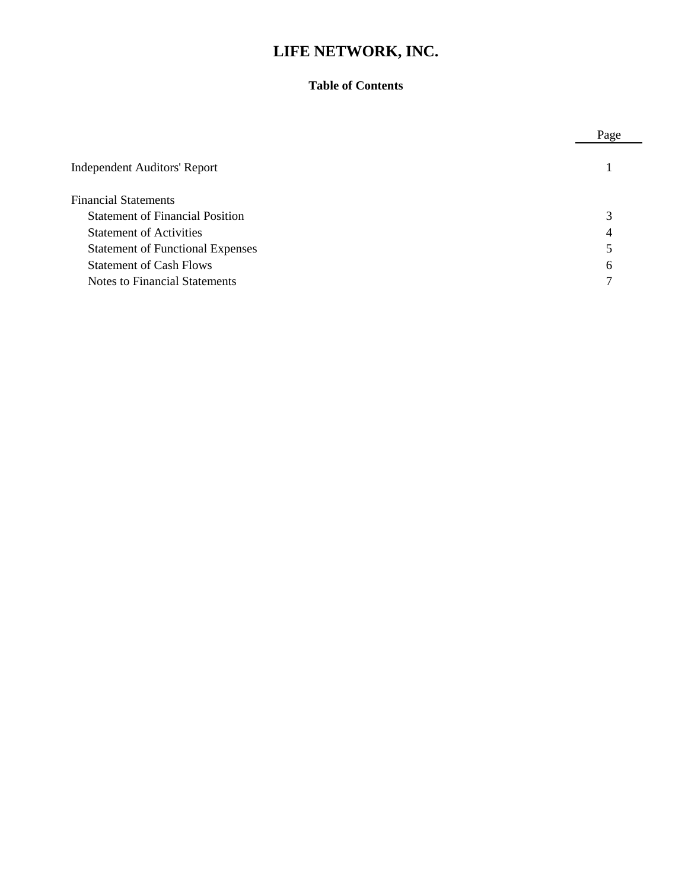#### **Table of Contents**

|                                         | Page |
|-----------------------------------------|------|
| <b>Independent Auditors' Report</b>     |      |
| <b>Financial Statements</b>             |      |
| <b>Statement of Financial Position</b>  | 3    |
| <b>Statement of Activities</b>          | 4    |
| <b>Statement of Functional Expenses</b> |      |
| <b>Statement of Cash Flows</b>          | 6    |
| Notes to Financial Statements           | 7    |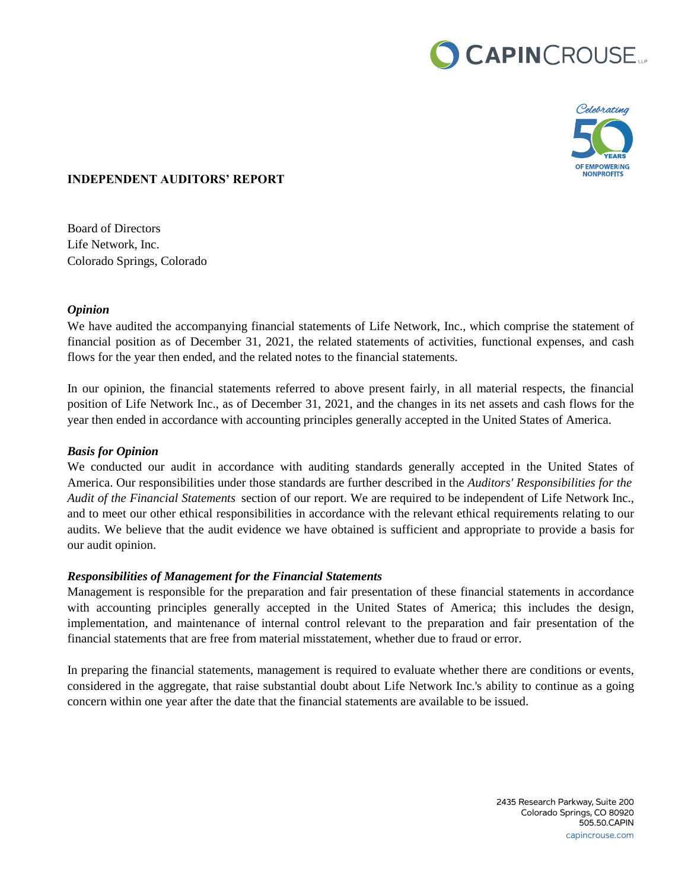# CAPINCROUSE.



#### **INDEPENDENT AUDITORS' REPORT**

Board of Directors Life Network, Inc. Colorado Springs, Colorado

#### *Opinion*

We have audited the accompanying financial statements of Life Network, Inc., which comprise the statement of financial position as of December 31, 2021, the related statements of activities, functional expenses, and cash flows for the year then ended, and the related notes to the financial statements.

In our opinion, the financial statements referred to above present fairly, in all material respects, the financial position of Life Network Inc., as of December 31, 2021, and the changes in its net assets and cash flows for the year then ended in accordance with accounting principles generally accepted in the United States of America.

#### *Basis for Opinion*

We conducted our audit in accordance with auditing standards generally accepted in the United States of America. Our responsibilities under those standards are further described in the *Auditors' Responsibilities for the Audit of the Financial Statements* section of our report. We are required to be independent of Life Network Inc., and to meet our other ethical responsibilities in accordance with the relevant ethical requirements relating to our audits. We believe that the audit evidence we have obtained is sufficient and appropriate to provide a basis for our audit opinion.

#### *Responsibilities of Management for the Financial Statements*

Management is responsible for the preparation and fair presentation of these financial statements in accordance with accounting principles generally accepted in the United States of America; this includes the design, implementation, and maintenance of internal control relevant to the preparation and fair presentation of the financial statements that are free from material misstatement, whether due to fraud or error.

In preparing the financial statements, management is required to evaluate whether there are conditions or events, considered in the aggregate, that raise substantial doubt about Life Network Inc.'s ability to continue as a going concern within one year after the date that the financial statements are available to be issued.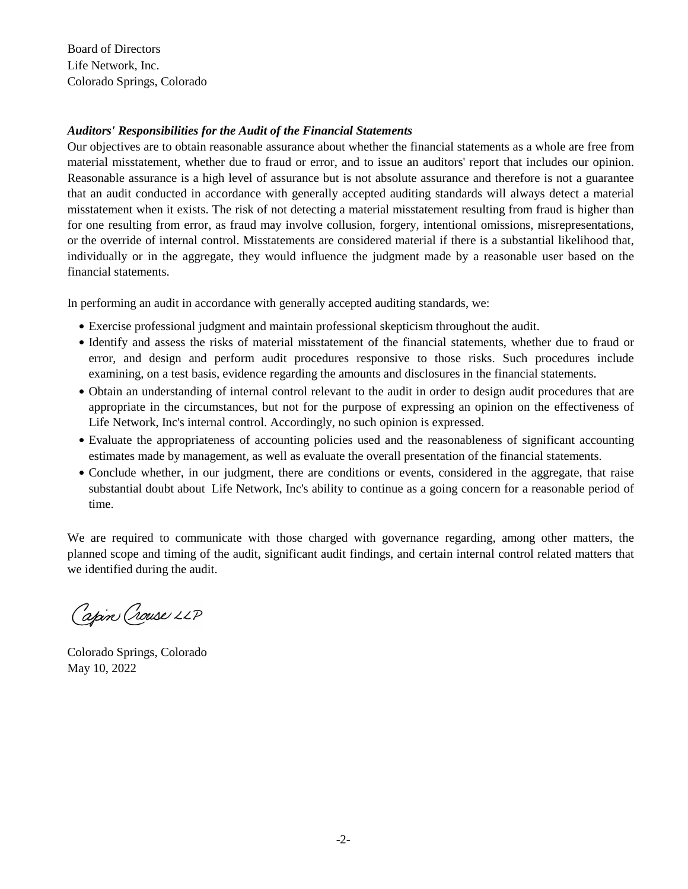Board of Directors Life Network, Inc. Colorado Springs, Colorado

#### *Auditors' Responsibilities for the Audit of the Financial Statements*

Our objectives are to obtain reasonable assurance about whether the financial statements as a whole are free from material misstatement, whether due to fraud or error, and to issue an auditors' report that includes our opinion. Reasonable assurance is a high level of assurance but is not absolute assurance and therefore is not a guarantee that an audit conducted in accordance with generally accepted auditing standards will always detect a material misstatement when it exists. The risk of not detecting a material misstatement resulting from fraud is higher than for one resulting from error, as fraud may involve collusion, forgery, intentional omissions, misrepresentations, or the override of internal control. Misstatements are considered material if there is a substantial likelihood that, individually or in the aggregate, they would influence the judgment made by a reasonable user based on the financial statements.

In performing an audit in accordance with generally accepted auditing standards, we:

- Exercise professional judgment and maintain professional skepticism throughout the audit. final statements are the responsibility of the organization of the organization  $\mathcal{O}$
- Identify and assess the risks of material misstatement of the financial statements, whether due to fraud or error, and design and perform audit procedures responsive to those risks. Such procedures include examining, on a test basis, evidence regarding the amounts and disclosures in the financial statements.
- Obtain an understanding of internal control relevant to the audit in order to design audit procedures that are appropriate in the circumstances, but not for the purpose of expressing an opinion on the effectiveness of Life Network, Inc's internal control. Accordingly, no such opinion is expressed.
- Evaluate the appropriateness of accounting policies used and the reasonableness of significant accounting estimates made by management, as well as evaluate the overall presentation of the financial statements.
- Conclude whether, in our judgment, there are conditions or events, considered in the aggregate, that raise substantial doubt about Life Network, Inc's ability to continue as a going concern for a reasonable period of time.

We are required to communicate with those charged with governance regarding, among other matters, the planned scope and timing of the audit, significant audit findings, and certain internal control related matters that we identified during the audit. we are required to communicate with those charged with governance regarding, among other matters, the

Capin Crouse LLP

Colorado Springs, Colorado May 10, 2022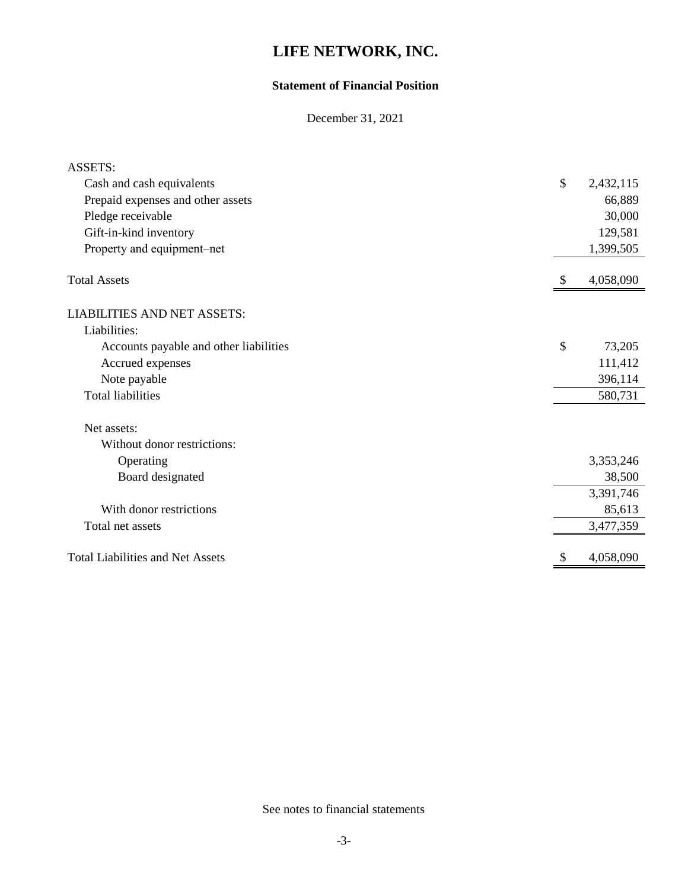#### **Statement of Financial Position**

December 31, 2021

| <b>ASSETS:</b>                          |                 |
|-----------------------------------------|-----------------|
| Cash and cash equivalents               | \$<br>2,432,115 |
| Prepaid expenses and other assets       | 66,889          |
| Pledge receivable                       | 30,000          |
| Gift-in-kind inventory                  | 129,581         |
| Property and equipment-net              | 1,399,505       |
| <b>Total Assets</b>                     | 4,058,090       |
| <b>LIABILITIES AND NET ASSETS:</b>      |                 |
| Liabilities:                            |                 |
| Accounts payable and other liabilities  | \$<br>73,205    |
| Accrued expenses                        | 111,412         |
| Note payable                            | 396,114         |
| <b>Total liabilities</b>                | 580,731         |
| Net assets:                             |                 |
| Without donor restrictions:             |                 |
| Operating                               | 3,353,246       |
| Board designated                        | 38,500          |
|                                         | 3,391,746       |
| With donor restrictions                 | 85,613          |
| Total net assets                        | 3,477,359       |
| <b>Total Liabilities and Net Assets</b> | 4,058,090       |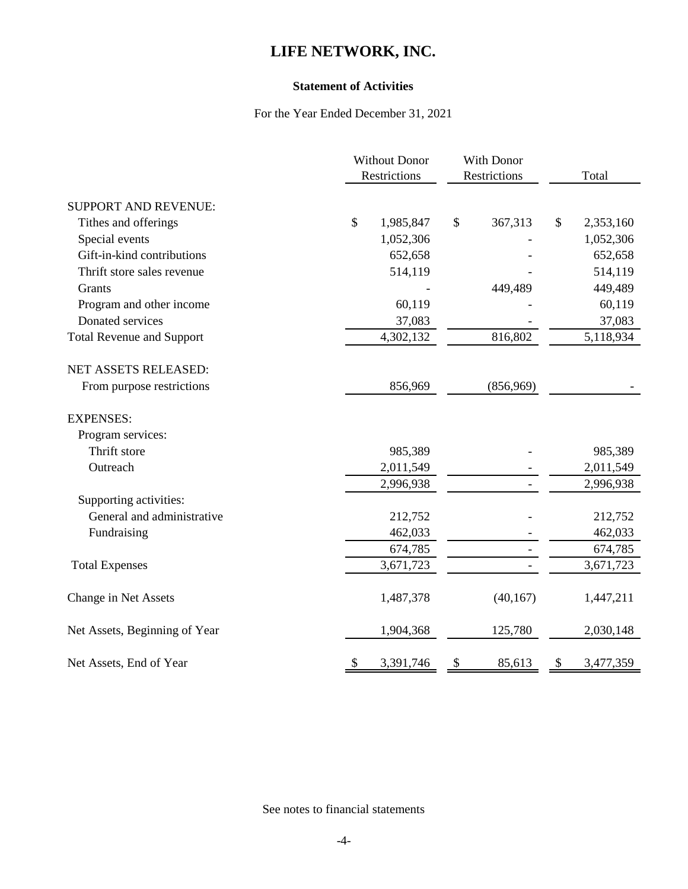#### **Statement of Activities**

#### For the Year Ended December 31, 2021

|                                  | <b>Without Donor</b>       | With Donor    |                 |
|----------------------------------|----------------------------|---------------|-----------------|
|                                  | Restrictions               | Restrictions  | Total           |
| SUPPORT AND REVENUE:             |                            |               |                 |
| Tithes and offerings             | $\mathcal{S}$<br>1,985,847 | \$<br>367,313 | \$<br>2,353,160 |
| Special events                   | 1,052,306                  |               | 1,052,306       |
| Gift-in-kind contributions       | 652,658                    |               | 652,658         |
| Thrift store sales revenue       | 514,119                    |               | 514,119         |
| Grants                           |                            | 449,489       | 449,489         |
| Program and other income         | 60,119                     |               | 60,119          |
| Donated services                 | 37,083                     |               | 37,083          |
| <b>Total Revenue and Support</b> | 4,302,132                  | 816,802       | 5,118,934       |
| NET ASSETS RELEASED:             |                            |               |                 |
| From purpose restrictions        | 856,969                    | (856,969)     |                 |
| <b>EXPENSES:</b>                 |                            |               |                 |
| Program services:                |                            |               |                 |
| Thrift store                     | 985,389                    |               | 985,389         |
| Outreach                         | 2,011,549                  |               | 2,011,549       |
|                                  | 2,996,938                  |               | 2,996,938       |
| Supporting activities:           |                            |               |                 |
| General and administrative       | 212,752                    |               | 212,752         |
| Fundraising                      | 462,033                    |               | 462,033         |
|                                  | 674,785                    |               | 674,785         |
| <b>Total Expenses</b>            | 3,671,723                  |               | 3,671,723       |
| Change in Net Assets             | 1,487,378                  | (40, 167)     | 1,447,211       |
| Net Assets, Beginning of Year    | 1,904,368                  | 125,780       | 2,030,148       |
| Net Assets, End of Year          | 3,391,746<br>\$            | 85,613<br>\$  | \$<br>3,477,359 |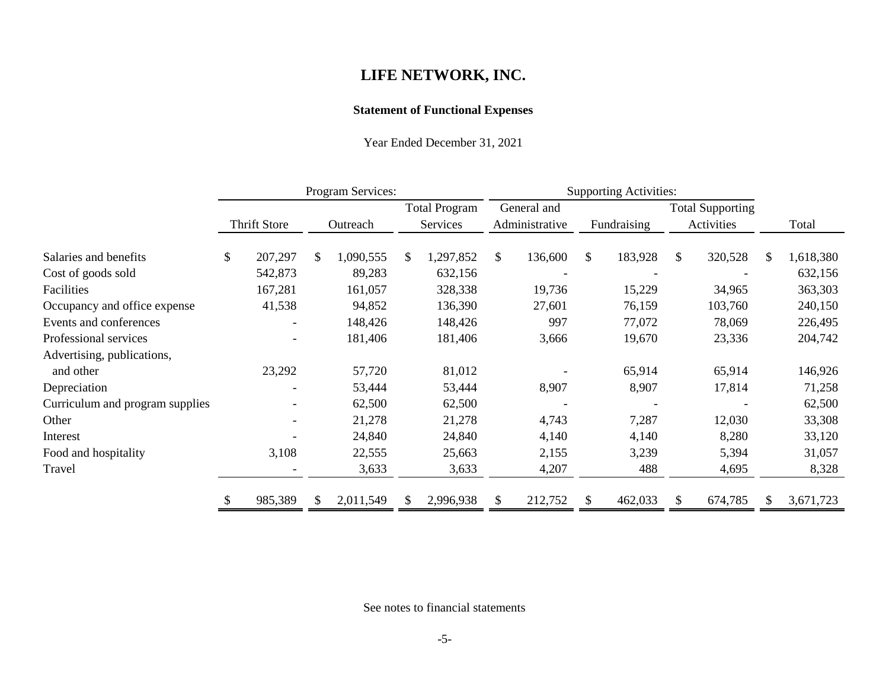#### **Statement of Functional Expenses**

Year Ended December 31, 2021

|                                 | Program Services: |                     |     |           |     |                                  | <b>Supporting Activities:</b> |                               |     |             |     |                                       |     |           |
|---------------------------------|-------------------|---------------------|-----|-----------|-----|----------------------------------|-------------------------------|-------------------------------|-----|-------------|-----|---------------------------------------|-----|-----------|
|                                 |                   | <b>Thrift Store</b> |     | Outreach  |     | <b>Total Program</b><br>Services |                               | General and<br>Administrative |     | Fundraising |     | <b>Total Supporting</b><br>Activities |     | Total     |
| Salaries and benefits           | \$                | 207,297             | \$. | 1,090,555 | \$. | 1,297,852                        | \$                            | 136,600                       | \$. | 183,928     | \$  | 320,528                               | \$. | 1,618,380 |
| Cost of goods sold              |                   | 542,873             |     | 89,283    |     | 632,156                          |                               |                               |     |             |     |                                       |     | 632,156   |
| Facilities                      |                   | 167,281             |     | 161,057   |     | 328,338                          |                               | 19,736                        |     | 15,229      |     | 34,965                                |     | 363,303   |
| Occupancy and office expense    |                   | 41,538              |     | 94,852    |     | 136,390                          |                               | 27,601                        |     | 76,159      |     | 103,760                               |     | 240,150   |
| Events and conferences          |                   |                     |     | 148,426   |     | 148,426                          |                               | 997                           |     | 77,072      |     | 78,069                                |     | 226,495   |
| Professional services           |                   | $\blacksquare$      |     | 181,406   |     | 181,406                          |                               | 3,666                         |     | 19,670      |     | 23,336                                |     | 204,742   |
| Advertising, publications,      |                   |                     |     |           |     |                                  |                               |                               |     |             |     |                                       |     |           |
| and other                       |                   | 23,292              |     | 57,720    |     | 81,012                           |                               |                               |     | 65,914      |     | 65,914                                |     | 146,926   |
| Depreciation                    |                   |                     |     | 53,444    |     | 53,444                           |                               | 8,907                         |     | 8,907       |     | 17,814                                |     | 71,258    |
| Curriculum and program supplies |                   |                     |     | 62,500    |     | 62,500                           |                               |                               |     |             |     |                                       |     | 62,500    |
| Other                           |                   |                     |     | 21,278    |     | 21,278                           |                               | 4,743                         |     | 7,287       |     | 12,030                                |     | 33,308    |
| Interest                        |                   |                     |     | 24,840    |     | 24,840                           |                               | 4,140                         |     | 4,140       |     | 8,280                                 |     | 33,120    |
| Food and hospitality            |                   | 3,108               |     | 22,555    |     | 25,663                           |                               | 2,155                         |     | 3,239       |     | 5,394                                 |     | 31,057    |
| Travel                          |                   |                     |     | 3,633     |     | 3,633                            |                               | 4,207                         |     | 488         |     | 4,695                                 |     | 8,328     |
|                                 | \$                | 985,389             | \$  | 2,011,549 | S.  | 2,996,938                        | \$                            | 212,752                       |     | 462,033     | \$. | 674,785                               |     | 3,671,723 |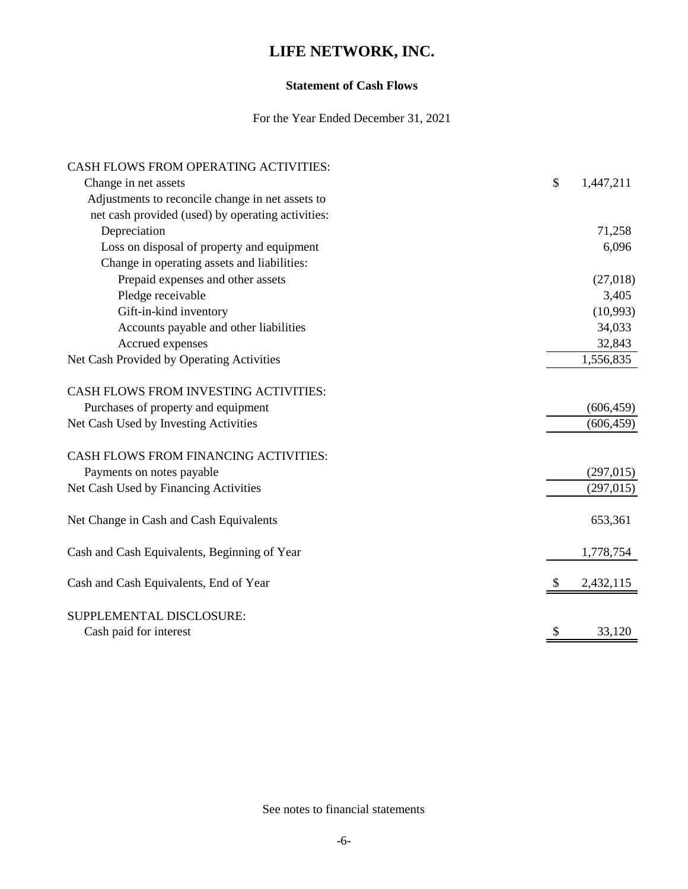#### **Statement of Cash Flows**

For the Year Ended December 31, 2021

| CASH FLOWS FROM OPERATING ACTIVITIES:             |               |            |
|---------------------------------------------------|---------------|------------|
| Change in net assets                              | \$            | 1,447,211  |
| Adjustments to reconcile change in net assets to  |               |            |
| net cash provided (used) by operating activities: |               |            |
| Depreciation                                      |               | 71,258     |
| Loss on disposal of property and equipment        |               | 6,096      |
| Change in operating assets and liabilities:       |               |            |
| Prepaid expenses and other assets                 |               | (27,018)   |
| Pledge receivable                                 |               | 3,405      |
| Gift-in-kind inventory                            |               | (10,993)   |
| Accounts payable and other liabilities            |               | 34,033     |
| Accrued expenses                                  |               | 32,843     |
| Net Cash Provided by Operating Activities         |               | 1,556,835  |
| <b>CASH FLOWS FROM INVESTING ACTIVITIES:</b>      |               |            |
| Purchases of property and equipment               |               | (606, 459) |
| Net Cash Used by Investing Activities             |               | (606, 459) |
| CASH FLOWS FROM FINANCING ACTIVITIES:             |               |            |
| Payments on notes payable                         |               | (297, 015) |
| Net Cash Used by Financing Activities             |               | (297, 015) |
| Net Change in Cash and Cash Equivalents           |               | 653,361    |
| Cash and Cash Equivalents, Beginning of Year      |               | 1,778,754  |
| Cash and Cash Equivalents, End of Year            | <sup>\$</sup> | 2,432,115  |
| SUPPLEMENTAL DISCLOSURE:                          |               |            |
| Cash paid for interest                            | S             | 33,120     |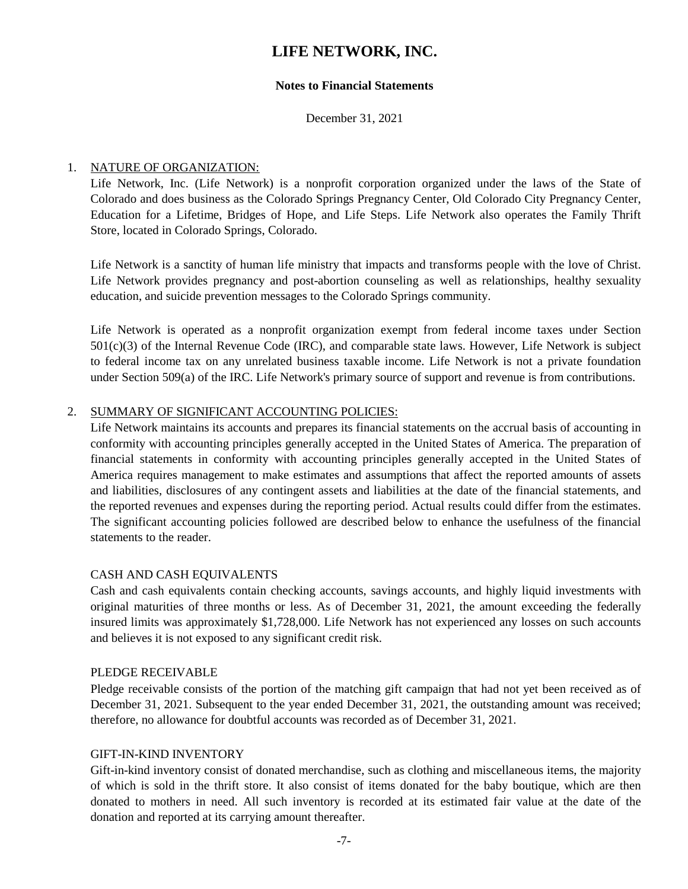#### **Notes to Financial Statements**

December 31, 2021

#### 1. NATURE OF ORGANIZATION:

Life Network, Inc. (Life Network) is a nonprofit corporation organized under the laws of the State of Colorado and does business as the Colorado Springs Pregnancy Center, Old Colorado City Pregnancy Center, Education for a Lifetime, Bridges of Hope, and Life Steps. Life Network also operates the Family Thrift Store, located in Colorado Springs, Colorado.

Life Network is a sanctity of human life ministry that impacts and transforms people with the love of Christ. Life Network provides pregnancy and post-abortion counseling as well as relationships, healthy sexuality education, and suicide prevention messages to the Colorado Springs community.

Life Network is operated as a nonprofit organization exempt from federal income taxes under Section 501(c)(3) of the Internal Revenue Code (IRC), and comparable state laws. However, Life Network is subject to federal income tax on any unrelated business taxable income. Life Network is not a private foundation under Section 509(a) of the IRC. Life Network's primary source of support and revenue is from contributions.

#### 2. SUMMARY OF SIGNIFICANT ACCOUNTING POLICIES:

Life Network maintains its accounts and prepares its financial statements on the accrual basis of accounting in conformity with accounting principles generally accepted in the United States of America. The preparation of financial statements in conformity with accounting principles generally accepted in the United States of America requires management to make estimates and assumptions that affect the reported amounts of assets and liabilities, disclosures of any contingent assets and liabilities at the date of the financial statements, and the reported revenues and expenses during the reporting period. Actual results could differ from the estimates. The significant accounting policies followed are described below to enhance the usefulness of the financial statements to the reader.

#### CASH AND CASH EQUIVALENTS

Cash and cash equivalents contain checking accounts, savings accounts, and highly liquid investments with original maturities of three months or less. As of December 31, 2021, the amount exceeding the federally insured limits was approximately \$1,728,000. Life Network has not experienced any losses on such accounts and believes it is not exposed to any significant credit risk.

#### PLEDGE RECEIVABLE

Pledge receivable consists of the portion of the matching gift campaign that had not yet been received as of December 31, 2021. Subsequent to the year ended December 31, 2021, the outstanding amount was received; therefore, no allowance for doubtful accounts was recorded as of December 31, 2021.

#### GIFT-IN-KIND INVENTORY

Gift-in-kind inventory consist of donated merchandise, such as clothing and miscellaneous items, the majority of which is sold in the thrift store. It also consist of items donated for the baby boutique, which are then donated to mothers in need. All such inventory is recorded at its estimated fair value at the date of the donation and reported at its carrying amount thereafter.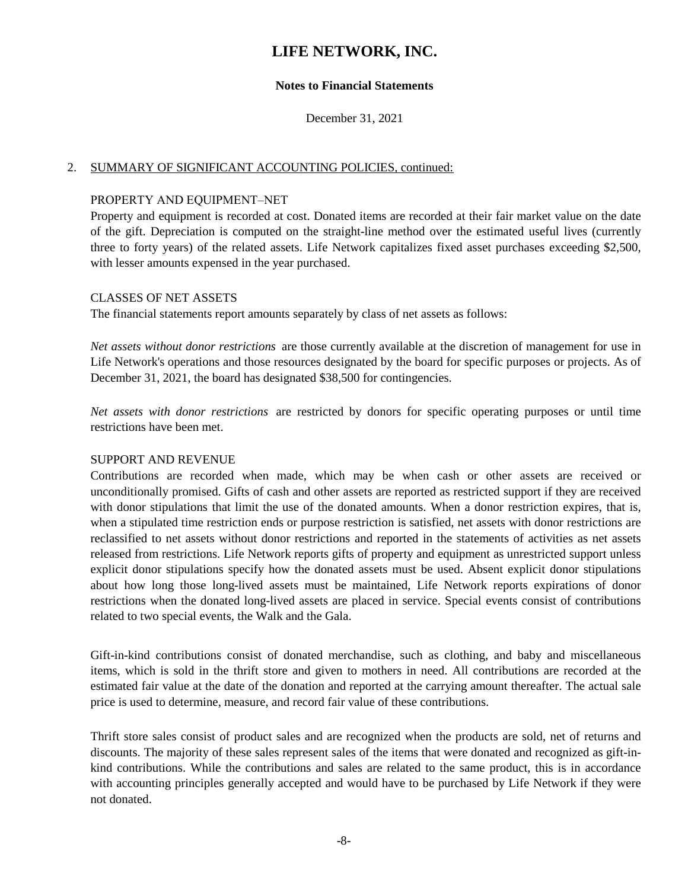#### **Notes to Financial Statements**

December 31, 2021

#### 2. SUMMARY OF SIGNIFICANT ACCOUNTING POLICIES, continued:

#### PROPERTY AND EQUIPMENT–NET

Property and equipment is recorded at cost. Donated items are recorded at their fair market value on the date of the gift. Depreciation is computed on the straight-line method over the estimated useful lives (currently three to forty years) of the related assets. Life Network capitalizes fixed asset purchases exceeding \$2,500, with lesser amounts expensed in the year purchased.

#### CLASSES OF NET ASSETS

The financial statements report amounts separately by class of net assets as follows:

*Net assets without donor restrictions* are those currently available at the discretion of management for use in Life Network's operations and those resources designated by the board for specific purposes or projects. As of December 31, 2021, the board has designated \$38,500 for contingencies.

*Net assets with donor restrictions* are restricted by donors for specific operating purposes or until time restrictions have been met.

#### SUPPORT AND REVENUE

Contributions are recorded when made, which may be when cash or other assets are received or unconditionally promised. Gifts of cash and other assets are reported as restricted support if they are received with donor stipulations that limit the use of the donated amounts. When a donor restriction expires, that is, when a stipulated time restriction ends or purpose restriction is satisfied, net assets with donor restrictions are reclassified to net assets without donor restrictions and reported in the statements of activities as net assets released from restrictions. Life Network reports gifts of property and equipment as unrestricted support unless explicit donor stipulations specify how the donated assets must be used. Absent explicit donor stipulations about how long those long-lived assets must be maintained, Life Network reports expirations of donor restrictions when the donated long-lived assets are placed in service. Special events consist of contributions related to two special events, the Walk and the Gala.

Gift-in-kind contributions consist of donated merchandise, such as clothing, and baby and miscellaneous items, which is sold in the thrift store and given to mothers in need. All contributions are recorded at the estimated fair value at the date of the donation and reported at the carrying amount thereafter. The actual sale price is used to determine, measure, and record fair value of these contributions.

Thrift store sales consist of product sales and are recognized when the products are sold, net of returns and discounts. The majority of these sales represent sales of the items that were donated and recognized as gift-inkind contributions. While the contributions and sales are related to the same product, this is in accordance with accounting principles generally accepted and would have to be purchased by Life Network if they were not donated.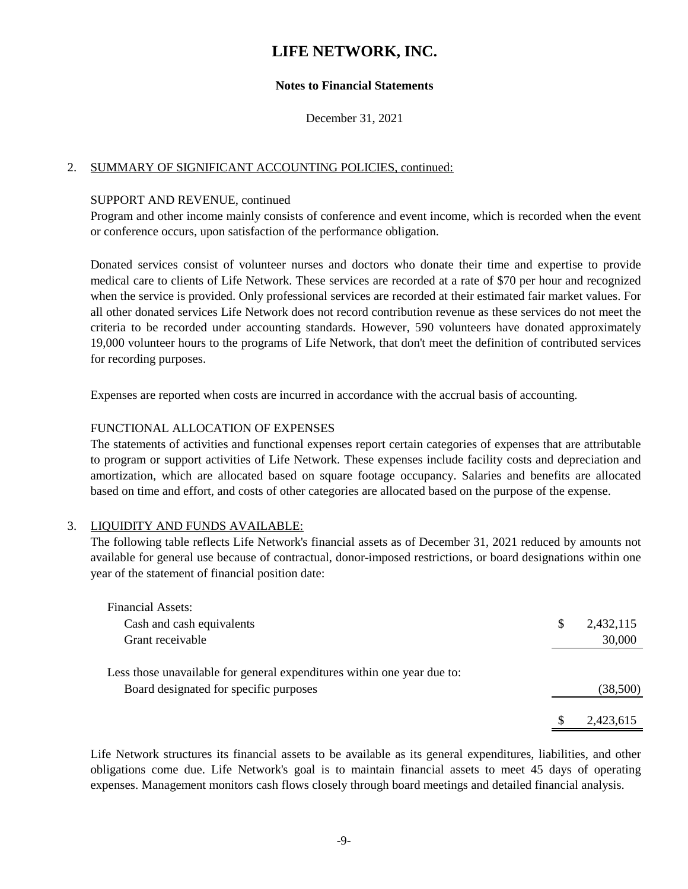#### **Notes to Financial Statements**

December 31, 2021

#### 2. SUMMARY OF SIGNIFICANT ACCOUNTING POLICIES, continued:

#### SUPPORT AND REVENUE, continued

Program and other income mainly consists of conference and event income, which is recorded when the event or conference occurs, upon satisfaction of the performance obligation.

Donated services consist of volunteer nurses and doctors who donate their time and expertise to provide medical care to clients of Life Network. These services are recorded at a rate of \$70 per hour and recognized when the service is provided. Only professional services are recorded at their estimated fair market values. For all other donated services Life Network does not record contribution revenue as these services do not meet the criteria to be recorded under accounting standards. However, 590 volunteers have donated approximately 19,000 volunteer hours to the programs of Life Network, that don't meet the definition of contributed services for recording purposes.

Expenses are reported when costs are incurred in accordance with the accrual basis of accounting.

#### FUNCTIONAL ALLOCATION OF EXPENSES

The statements of activities and functional expenses report certain categories of expenses that are attributable to program or support activities of Life Network. These expenses include facility costs and depreciation and amortization, which are allocated based on square footage occupancy. Salaries and benefits are allocated based on time and effort, and costs of other categories are allocated based on the purpose of the expense.

#### 3. LIQUIDITY AND FUNDS AVAILABLE:

The following table reflects Life Network's financial assets as of December 31, 2021 reduced by amounts not available for general use because of contractual, donor-imposed restrictions, or board designations within one year of the statement of financial position date:

| Financial Assets:                                                                                                 |   |           |
|-------------------------------------------------------------------------------------------------------------------|---|-----------|
| Cash and cash equivalents                                                                                         | S | 2,432,115 |
| Grant receivable                                                                                                  |   | 30,000    |
| Less those unavailable for general expenditures within one year due to:<br>Board designated for specific purposes |   | (38,500)  |
|                                                                                                                   |   | 2,423,615 |

Life Network structures its financial assets to be available as its general expenditures, liabilities, and other obligations come due. Life Network's goal is to maintain financial assets to meet 45 days of operating expenses. Management monitors cash flows closely through board meetings and detailed financial analysis.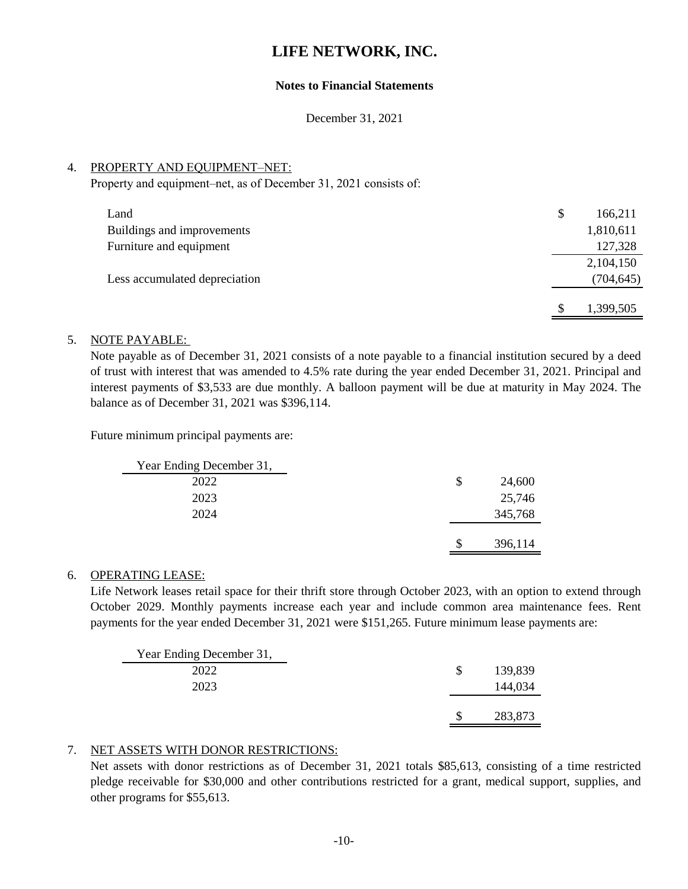#### **Notes to Financial Statements**

December 31, 2021

#### 4. PROPERTY AND EQUIPMENT–NET:

Property and equipment–net, as of December 31, 2021 consists of:

| Land                          | \$<br>166,211 |
|-------------------------------|---------------|
| Buildings and improvements    | 1,810,611     |
| Furniture and equipment       | 127,328       |
|                               | 2,104,150     |
| Less accumulated depreciation | (704, 645)    |
|                               |               |
|                               | 1,399,505     |

#### 5. NOTE PAYABLE:

Note payable as of December 31, 2021 consists of a note payable to a financial institution secured by a deed of trust with interest that was amended to 4.5% rate during the year ended December 31, 2021. Principal and interest payments of \$3,533 are due monthly. A balloon payment will be due at maturity in May 2024. The balance as of December 31, 2021 was \$396,114.

Future minimum principal payments are:

| Year Ending December 31, |    |         |
|--------------------------|----|---------|
| 2022                     | S  | 24,600  |
| 2023                     |    | 25,746  |
| 2024                     |    | 345,768 |
|                          |    |         |
|                          | \$ | 396,114 |

#### 6. OPERATING LEASE:

Life Network leases retail space for their thrift store through October 2023, with an option to extend through October 2029. Monthly payments increase each year and include common area maintenance fees. Rent payments for the year ended December 31, 2021 were \$151,265. Future minimum lease payments are:

| Year Ending December 31, |               |         |
|--------------------------|---------------|---------|
| 2022                     | <sup>\$</sup> | 139,839 |
| 2023                     |               | 144,034 |
|                          |               |         |
|                          |               | 283,873 |

#### 7. NET ASSETS WITH DONOR RESTRICTIONS:

Net assets with donor restrictions as of December 31, 2021 totals \$85,613, consisting of a time restricted pledge receivable for \$30,000 and other contributions restricted for a grant, medical support, supplies, and other programs for \$55,613.